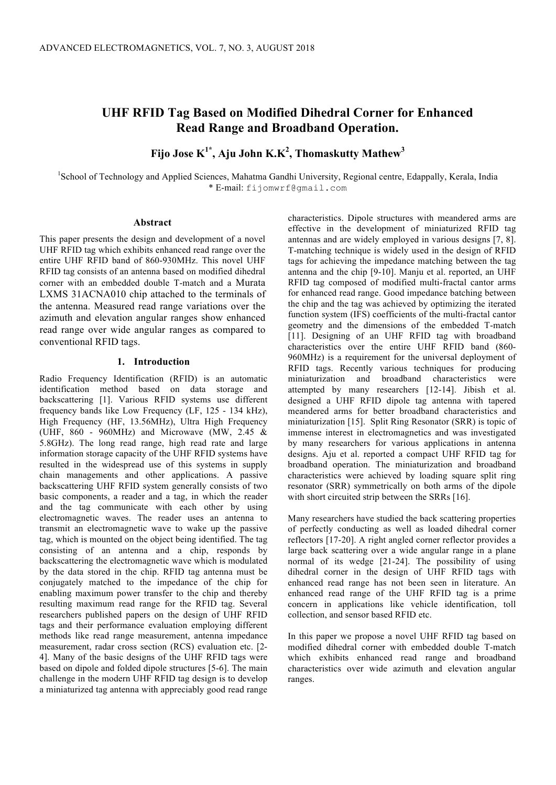# **UHF RFID Tag Based on Modified Dihedral Corner for Enhanced Read Range and Broadband Operation.**

**Fijo Jose K1\* , Aju John K.K<sup>2</sup> , Thomaskutty Mathew<sup>3</sup>**

<sup>1</sup>School of Technology and Applied Sciences, Mahatma Gandhi University, Regional centre, Edappally, Kerala, India \* E-mail: fijomwrf@gmail.com

#### **Abstract**

This paper presents the design and development of a novel UHF RFID tag which exhibits enhanced read range over the entire UHF RFID band of 860-930MHz. This novel UHF RFID tag consists of an antenna based on modified dihedral corner with an embedded double T-match and a Murata LXMS 31ACNA010 chip attached to the terminals of the antenna. Measured read range variations over the azimuth and elevation angular ranges show enhanced read range over wide angular ranges as compared to conventional RFID tags.

## **1. Introduction**

Radio Frequency Identification (RFID) is an automatic identification method based on data storage and backscattering [1]. Various RFID systems use different frequency bands like Low Frequency (LF, 125 - 134 kHz), High Frequency (HF, 13.56MHz), Ultra High Frequency (UHF,  $860 - 960$ MHz) and Microwave (MW, 2.45  $\&$ 5.8GHz). The long read range, high read rate and large information storage capacity of the UHF RFID systems have resulted in the widespread use of this systems in supply chain managements and other applications. A passive backscattering UHF RFID system generally consists of two basic components, a reader and a tag, in which the reader and the tag communicate with each other by using electromagnetic waves. The reader uses an antenna to transmit an electromagnetic wave to wake up the passive tag, which is mounted on the object being identified. The tag consisting of an antenna and a chip, responds by backscattering the electromagnetic wave which is modulated by the data stored in the chip. RFID tag antenna must be conjugately matched to the impedance of the chip for enabling maximum power transfer to the chip and thereby resulting maximum read range for the RFID tag. Several researchers published papers on the design of UHF RFID tags and their performance evaluation employing different methods like read range measurement, antenna impedance measurement, radar cross section (RCS) evaluation etc. [2- 4]. Many of the basic designs of the UHF RFID tags were based on dipole and folded dipole structures [5-6]. The main challenge in the modern UHF RFID tag design is to develop a miniaturized tag antenna with appreciably good read range characteristics. Dipole structures with meandered arms are effective in the development of miniaturized RFID tag antennas and are widely employed in various designs [7, 8]. T-matching technique is widely used in the design of RFID tags for achieving the impedance matching between the tag antenna and the chip [9-10]. Manju et al. reported, an UHF RFID tag composed of modified multi-fractal cantor arms for enhanced read range. Good impedance batching between the chip and the tag was achieved by optimizing the iterated function system (IFS) coefficients of the multi-fractal cantor geometry and the dimensions of the embedded T-match [11]. Designing of an UHF RFID tag with broadband characteristics over the entire UHF RFID band (860- 960MHz) is a requirement for the universal deployment of RFID tags. Recently various techniques for producing miniaturization and broadband characteristics were attempted by many researchers [12-14]. Jibish et al. designed a UHF RFID dipole tag antenna with tapered meandered arms for better broadband characteristics and miniaturization [15]. Split Ring Resonator (SRR) is topic of immense interest in electromagnetics and was investigated by many researchers for various applications in antenna designs. Aju et al. reported a compact UHF RFID tag for broadband operation. The miniaturization and broadband characteristics were achieved by loading square split ring resonator (SRR) symmetrically on both arms of the dipole with short circuited strip between the SRRs [16].

Many researchers have studied the back scattering properties of perfectly conducting as well as loaded dihedral corner reflectors [17-20]. A right angled corner reflector provides a large back scattering over a wide angular range in a plane normal of its wedge [21-24]. The possibility of using dihedral corner in the design of UHF RFID tags with enhanced read range has not been seen in literature. An enhanced read range of the UHF RFID tag is a prime concern in applications like vehicle identification, toll collection, and sensor based RFID etc.

In this paper we propose a novel UHF RFID tag based on modified dihedral corner with embedded double T-match which exhibits enhanced read range and broadband characteristics over wide azimuth and elevation angular ranges.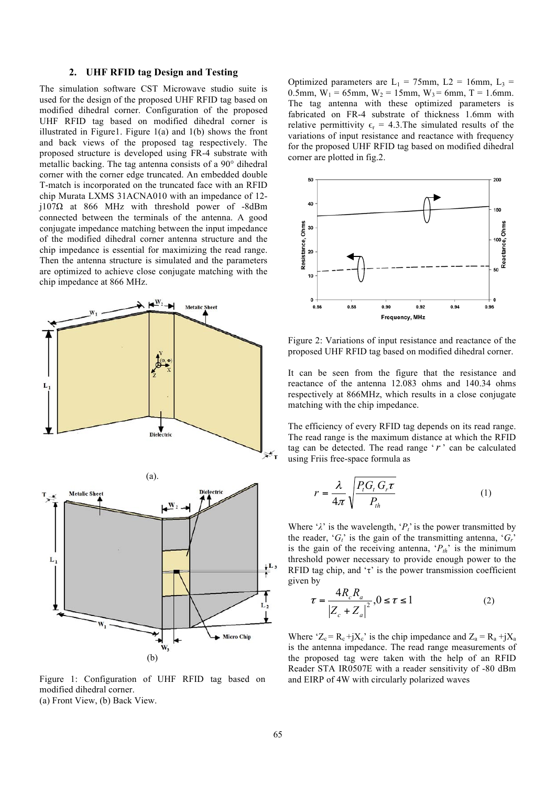#### **2. UHF RFID tag Design and Testing**

The simulation software CST Microwave studio suite is used for the design of the proposed UHF RFID tag based on modified dihedral corner. Configuration of the proposed UHF RFID tag based on modified dihedral corner is illustrated in Figure1. Figure  $1(a)$  and  $1(b)$  shows the front and back views of the proposed tag respectively. The proposed structure is developed using FR-4 substrate with metallic backing. The tag antenna consists of a 90° dihedral corner with the corner edge truncated. An embedded double T-match is incorporated on the truncated face with an RFID chip Murata LXMS 31ACNA010 with an impedance of 12 j107Ω at 866 MHz with threshold power of -8dBm connected between the terminals of the antenna. A good conjugate impedance matching between the input impedance of the modified dihedral corner antenna structure and the chip impedance is essential for maximizing the read range. Then the antenna structure is simulated and the parameters are optimized to achieve close conjugate matching with the chip impedance at 866 MHz.



Figure 1: Configuration of UHF RFID tag based on modified dihedral corner. (a) Front View, (b) Back View.

Optimized parameters are  $L_1 = 75$ mm,  $L_2 = 16$ mm,  $L_3 =$ 0.5mm,  $W_1 = 65$ mm,  $W_2 = 15$ mm,  $W_3 = 6$ mm, T = 1.6mm. The tag antenna with these optimized parameters is fabricated on FR-4 substrate of thickness 1.6mm with relative permittivity  $\epsilon_r = 4.3$ . The simulated results of the variations of input resistance and reactance with frequency for the proposed UHF RFID tag based on modified dihedral corner are plotted in fig.2.



Figure 2: Variations of input resistance and reactance of the proposed UHF RFID tag based on modified dihedral corner.

It can be seen from the figure that the resistance and reactance of the antenna 12.083 ohms and 140.34 ohms respectively at 866MHz, which results in a close conjugate matching with the chip impedance.

The efficiency of every RFID tag depends on its read range. The read range is the maximum distance at which the RFID tag can be detected. The read range '*r* ' can be calculated using Friis free-space formula as

$$
r = \frac{\lambda}{4\pi} \sqrt{\frac{P_t G_t G_r \tau}{P_{th}}}
$$
 (1)

Where ' $\lambda$ ' is the wavelength, ' $P_t$ ' is the power transmitted by the reader,  ${}^{c}G_{t}$  is the gain of the transmitting antenna,  ${}^{c}G_{t}$ <sup>'</sup> is the gain of the receiving antenna,  $P_{th}$ <sup>'</sup> is the minimum threshold power necessary to provide enough power to the RFID tag chip, and ' $\tau$ ' is the power transmission coefficient given by

$$
\tau = \frac{4R_c R_a}{|Z_c + Z_a|^2}, 0 \le \tau \le 1
$$
 (2)

Where ' $Z_c = R_c + jX_c$ ' is the chip impedance and  $Z_a = R_a + jX_a$ is the antenna impedance. The read range measurements of the proposed tag were taken with the help of an RFID Reader STA IR0507E with a reader sensitivity of -80 dBm and EIRP of 4W with circularly polarized waves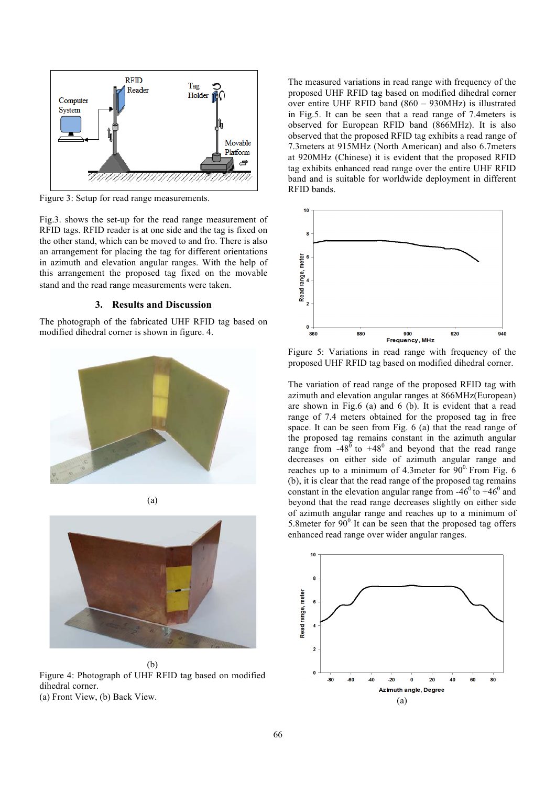

Figure 3: Setup for read range measurements.

Fig.3. shows the set-up for the read range measurement of RFID tags. RFID reader is at one side and the tag is fixed on the other stand, which can be moved to and fro. There is also an arrangement for placing the tag for different orientations in azimuth and elevation angular ranges. With the help of this arrangement the proposed tag fixed on the movable stand and the read range measurements were taken.

### **3. Results and Discussion**

The photograph of the fabricated UHF RFID tag based on modified dihedral corner is shown in figure. 4.







(b) Figure 4: Photograph of UHF RFID tag based on modified dihedral corner. (a) Front View, (b) Back View.

The measured variations in read range with frequency of the proposed UHF RFID tag based on modified dihedral corner over entire UHF RFID band (860 – 930MHz) is illustrated in Fig.5. It can be seen that a read range of 7.4meters is observed for European RFID band (866MHz). It is also observed that the proposed RFID tag exhibits a read range of 7.3meters at 915MHz (North American) and also 6.7meters at 920MHz (Chinese) it is evident that the proposed RFID tag exhibits enhanced read range over the entire UHF RFID band and is suitable for worldwide deployment in different RFID bands.



Figure 5: Variations in read range with frequency of the proposed UHF RFID tag based on modified dihedral corner.

The variation of read range of the proposed RFID tag with azimuth and elevation angular ranges at 866MHz(European) are shown in Fig.6 (a) and 6 (b). It is evident that a read range of 7.4 meters obtained for the proposed tag in free space. It can be seen from Fig. 6 (a) that the read range of the proposed tag remains constant in the azimuth angular range from  $-48^{\overline{0}}$  to  $+48^{\overline{0}}$  and beyond that the read range decreases on either side of azimuth angular range and reaches up to a minimum of 4.3meter for  $90^\circ$  From Fig. 6 (b), it is clear that the read range of the proposed tag remains constant in the elevation angular range from  $-46^{\circ}$  to  $+46^{\circ}$  and beyond that the read range decreases slightly on either side of azimuth angular range and reaches up to a minimum of 5.8meter for  $90^\circ$  It can be seen that the proposed tag offers enhanced read range over wider angular ranges.

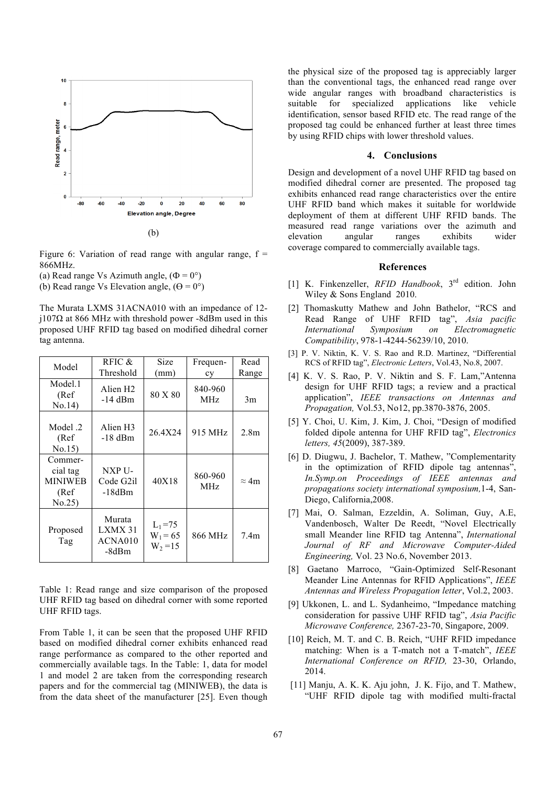

Figure 6: Variation of read range with angular range,  $f =$ 866MHz.

(a) Read range Vs Azimuth angle,  $(\Phi = 0^{\circ})$ 

(b) Read range Vs Elevation angle,  $(\Theta = 0^{\circ})$ 

The Murata LXMS 31ACNA010 with an impedance of 12 j107Ω at 866 MHz with threshold power -8dBm used in this proposed UHF RFID tag based on modified dihedral corner tag antenna.

| Model                                                   | RFIC $\&$<br>Threshold                  | Size<br>(mm)                           | Frequen-<br>cy        | Read<br>Range    |
|---------------------------------------------------------|-----------------------------------------|----------------------------------------|-----------------------|------------------|
| Model.1<br>(Ref<br>No.14                                | Alien H <sub>2</sub><br>$-14$ dBm       | 80 X 80                                | 840-960<br><b>MHz</b> | 3m               |
| 2. Model<br>(Ref<br>No.15)                              | Alien H <sub>3</sub><br>$-18$ dBm       | 26.4X24                                | 915 MHz               | 2.8 <sub>m</sub> |
| Commer-<br>cial tag<br><b>MINIWEB</b><br>(Ref<br>No.25) | NXP U-<br>Code G2il<br>$-18dBm$         | 40X18                                  | 860-960<br><b>MHz</b> | $\approx$ 4m     |
| Proposed<br>Tag                                         | Murata<br>LXMX 31<br>ACNA010<br>$-8dBm$ | $L_1 = 75$<br>$W_1 = 65$<br>$W_2 = 15$ | 866 MHz               | 7.4 <sub>m</sub> |

Table 1: Read range and size comparison of the proposed UHF RFID tag based on dihedral corner with some reported UHF RFID tags.

From Table 1, it can be seen that the proposed UHF RFID based on modified dihedral corner exhibits enhanced read range performance as compared to the other reported and commercially available tags. In the Table: 1, data for model 1 and model 2 are taken from the corresponding research papers and for the commercial tag (MINIWEB), the data is from the data sheet of the manufacturer [25]. Even though the physical size of the proposed tag is appreciably larger than the conventional tags, the enhanced read range over wide angular ranges with broadband characteristics is suitable for specialized applications like vehicle identification, sensor based RFID etc. The read range of the proposed tag could be enhanced further at least three times by using RFID chips with lower threshold values.

#### **4. Conclusions**

Design and development of a novel UHF RFID tag based on modified dihedral corner are presented. The proposed tag exhibits enhanced read range characteristics over the entire UHF RFID band which makes it suitable for worldwide deployment of them at different UHF RFID bands. The measured read range variations over the azimuth and elevation angular ranges exhibits wider coverage compared to commercially available tags.

#### **References**

- [1] K. Finkenzeller, *RFID Handbook*, 3rd edition. John Wiley & Sons England 2010.
- [2] Thomaskutty Mathew and John Bathelor, "RCS and Read Range of UHF RFID tag", *Asia pacific International Symposium on Electromagnetic Compatibility*, 978-1-4244-56239/10, 2010.
- [3] P. V. Niktin, K. V. S. Rao and R.D. Martinez, "Differential RCS of RFID tag", *Electronic Letters*, Vol.43, No.8, 2007.
- [4] K. V. S. Rao, P. V. Niktin and S. F. Lam,"Antenna design for UHF RFID tags; a review and a practical application", *IEEE transactions on Antennas and Propagation,* Vol.53, No12, pp.3870-3876, 2005.
- [5] Y. Choi, U. Kim, J. Kim, J. Choi, "Design of modified folded dipole antenna for UHF RFID tag", *Electronics letters, 45*(2009), 387-389.
- [6] D. Diugwu, J. Bachelor, T. Mathew, "Complementarity in the optimization of RFID dipole tag antennas", *In.Symp.on Proceedings of IEEE antennas and propagations society international symposium,*1-4, San-Diego, California,2008.
- [7] Mai, O. Salman, Ezzeldin, A. Soliman, Guy, A.E, Vandenbosch, Walter De Reedt, "Novel Electrically small Meander line RFID tag Antenna", *International Journal of RF and Microwave Computer-Aided Engineering,* Vol. 23 No.6, November 2013.
- [8] Gaetano Marroco, "Gain-Optimized Self-Resonant Meander Line Antennas for RFID Applications", *IEEE Antennas and Wireless Propagation letter*, Vol.2, 2003.
- [9] Ukkonen, L. and L. Sydanheimo, "Impedance matching consideration for passive UHF RFID tag", *Asia Pacific Microwave Conference,* 2367-23-70, Singapore, 2009.
- [10] Reich, M. T. and C. B. Reich, "UHF RFID impedance matching: When is a T-match not a T-match", *IEEE International Conference on RFID,* 23-30, Orlando, 2014.
- [11] Manju, A. K. K. Aju john, J. K. Fijo, and T. Mathew, "UHF RFID dipole tag with modified multi-fractal